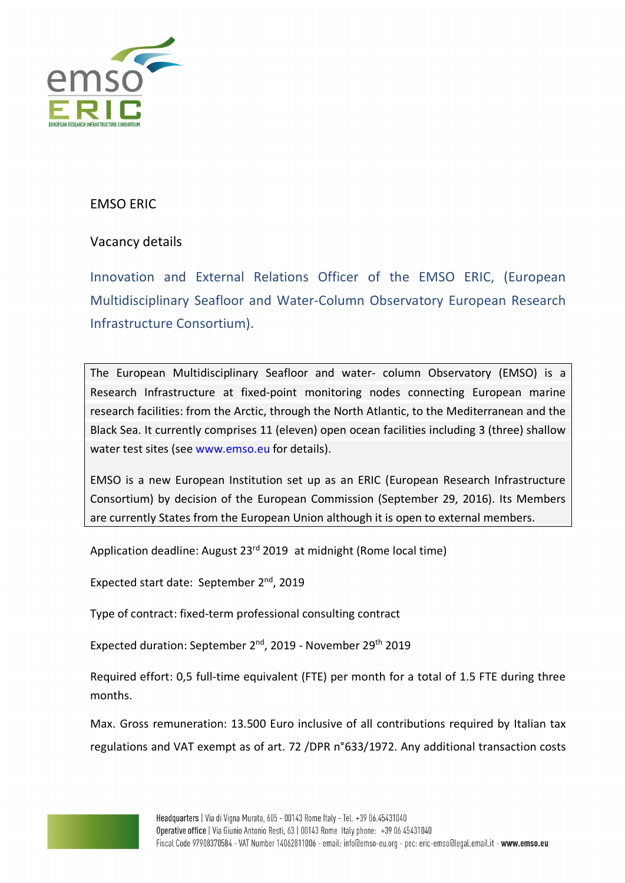

## EMSO ERIC

# Vacancy details

Innovation and External Relations Officer of the EMSO ERIC, (European Multidisciplinary Seafloor and Water-Column Observatory European Research Infrastructure Consortium).

The European Multidisciplinary Seafloor and water- column Observatory (EMSO) is a Research Infrastructure at fixed-point monitoring nodes connecting European marine research facilities: from the Arctic, through the North Atlantic, to the Mediterranean and the Black Sea. It currently comprises 11 (eleven) open ocean facilities including 3 (three) shallow water test sites (see www.emso.eu for details).

EMSO is a new European Institution set up as an ERIC (European Research Infrastructure Consortium) by decision of the European Commission (September 29, 2016). Its Members are currently States from the European Union although it is open to external members.

Application deadline: August 23<sup>rd</sup> 2019 at midnight (Rome local time)

Expected start date: September 2<sup>nd</sup>, 2019

Type of contract: fixed-term professional consulting contract

Expected duration: September 2nd, 2019 - November 29th 2019

Required effort: 0,5 full-time equivalent (FTE) per month for a total of 1.5 FTE during three months.

Max. Gross remuneration: 13.500 Euro inclusive of all contributions required by Italian tax regulations and VAT exempt as of art. 72 /DPR n°633/1972. Any additional transaction costs

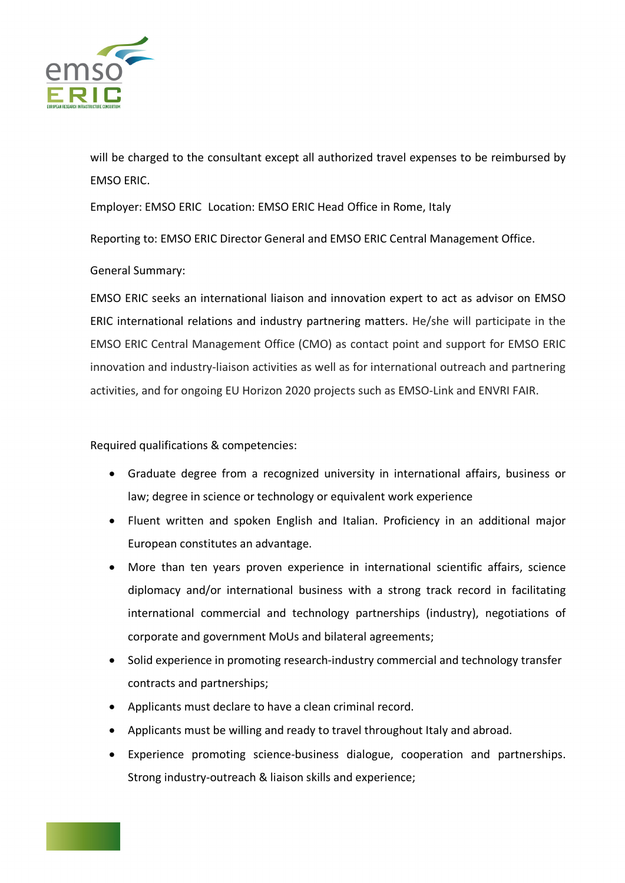

will be charged to the consultant except all authorized travel expenses to be reimbursed by EMSO ERIC.

Employer: EMSO ERIC Location: EMSO ERIC Head Office in Rome, Italy

Reporting to: EMSO ERIC Director General and EMSO ERIC Central Management Office.

#### General Summary:

EMSO ERIC seeks an international liaison and innovation expert to act as advisor on EMSO ERIC international relations and industry partnering matters. He/she will participate in the EMSO ERIC Central Management Office (CMO) as contact point and support for EMSO ERIC innovation and industry-liaison activities as well as for international outreach and partnering activities, and for ongoing EU Horizon 2020 projects such as EMSO-Link and ENVRI FAIR.

Required qualifications & competencies:

- Graduate degree from a recognized university in international affairs, business or law; degree in science or technology or equivalent work experience
- Fluent written and spoken English and Italian. Proficiency in an additional major European constitutes an advantage.
- More than ten years proven experience in international scientific affairs, science diplomacy and/or international business with a strong track record in facilitating international commercial and technology partnerships (industry), negotiations of corporate and government MoUs and bilateral agreements;
- Solid experience in promoting research-industry commercial and technology transfer contracts and partnerships;
- Applicants must declare to have a clean criminal record.
- Applicants must be willing and ready to travel throughout Italy and abroad.
- Experience promoting science-business dialogue, cooperation and partnerships. Strong industry-outreach & liaison skills and experience;